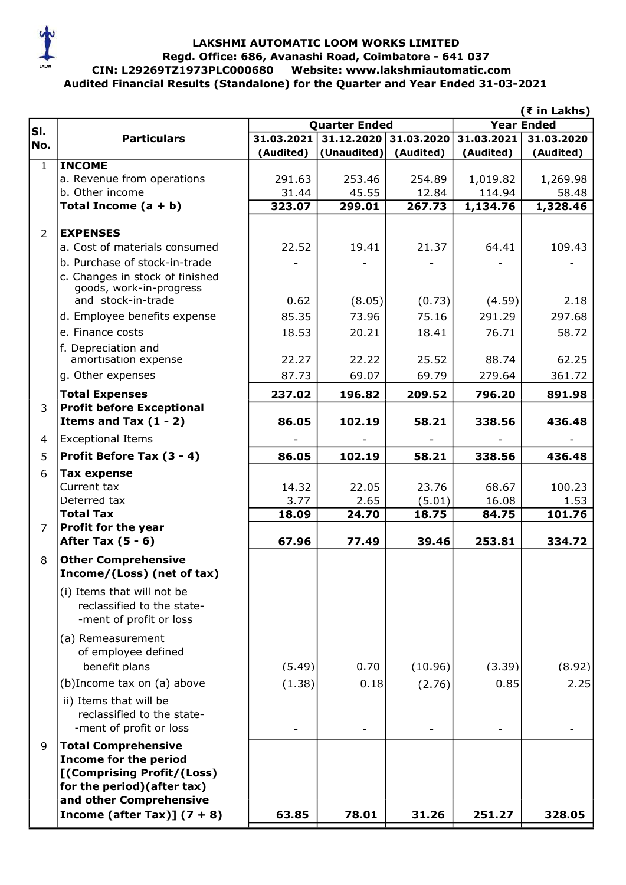

# LAKSHMI AUTOMATIC LOOM WORKS LIMITED<br>Regd. Office: 686, Avanashi Road, Coimbatore - 641 037<br>CIN: L29269TZ1973PLC000680 Website: www.lakshmiautomatic.com Audited Financial Results (Standalone) for the Quarter and Year Ended 31-03-2021 LAKSHMI AUTOMATIC LOOM WORKS LIMITED Regd. Office: 686, Avanashi Road, Coimbatore - 641 037

|                |                                               | (₹ in Lakhs)         |             |            |                   |            |
|----------------|-----------------------------------------------|----------------------|-------------|------------|-------------------|------------|
| SI.            |                                               | <b>Quarter Ended</b> |             |            | <b>Year Ended</b> |            |
| No.            | <b>Particulars</b>                            | 31.03.2021           | 31.12.2020  | 31.03.2020 | 31.03.2021        | 31.03.2020 |
| $\mathbf{1}$   | <b>INCOME</b>                                 | (Audited)            | (Unaudited) | (Audited)  | (Audited)         | (Audited)  |
|                | a. Revenue from operations                    | 291.63               | 253.46      | 254.89     | 1,019.82          | 1,269.98   |
|                | b. Other income                               | 31.44                | 45.55       | 12.84      | 114.94            | 58.48      |
|                | Total Income $(a + b)$                        | 323.07               | 299.01      | 267.73     | 1,134.76          | 1,328.46   |
|                |                                               |                      |             |            |                   |            |
| $\overline{2}$ | <b>EXPENSES</b>                               |                      |             |            |                   |            |
|                | a. Cost of materials consumed                 | 22.52                | 19.41       | 21.37      | 64.41             | 109.43     |
|                | b. Purchase of stock-in-trade                 |                      |             |            |                   |            |
|                | c. Changes in stock of finished               |                      |             |            |                   |            |
|                | goods, work-in-progress<br>and stock-in-trade | 0.62                 | (8.05)      | (0.73)     | (4.59)            | 2.18       |
|                | d. Employee benefits expense                  | 85.35                | 73.96       | 75.16      | 291.29            | 297.68     |
|                | e. Finance costs                              | 18.53                | 20.21       | 18.41      | 76.71             | 58.72      |
|                | f. Depreciation and                           |                      |             |            |                   |            |
|                | amortisation expense                          | 22.27                | 22.22       | 25.52      | 88.74             | 62.25      |
|                | g. Other expenses                             | 87.73                | 69.07       | 69.79      | 279.64            | 361.72     |
|                | <b>Total Expenses</b>                         | 237.02               | 196.82      | 209.52     | 796.20            | 891.98     |
| 3              | <b>Profit before Exceptional</b>              |                      |             |            |                   |            |
|                | Items and Tax $(1 - 2)$                       | 86.05                | 102.19      | 58.21      | 338.56            | 436.48     |
| $\overline{4}$ | <b>Exceptional Items</b>                      |                      |             |            |                   |            |
| 5              | Profit Before Tax (3 - 4)                     | 86.05                | 102.19      | 58.21      | 338.56            | 436.48     |
| 6              | <b>Tax expense</b>                            |                      |             |            |                   |            |
|                | Current tax                                   | 14.32                | 22.05       | 23.76      | 68.67             | 100.23     |
|                | Deferred tax                                  | 3.77                 | 2.65        | (5.01)     | 16.08             | 1.53       |
|                | <b>Total Tax</b>                              | 18.09                | 24.70       | 18.75      | 84.75             | 101.76     |
| $\overline{7}$ | Profit for the year                           |                      |             |            |                   |            |
|                | After Tax $(5 - 6)$                           | 67.96                | 77.49       | 39.46      | 253.81            | 334.72     |
| 8              | <b>Other Comprehensive</b>                    |                      |             |            |                   |            |
|                | Income/(Loss) (net of tax)                    |                      |             |            |                   |            |
|                | (i) Items that will not be                    |                      |             |            |                   |            |
|                | reclassified to the state-                    |                      |             |            |                   |            |
|                | -ment of profit or loss                       |                      |             |            |                   |            |
|                | (a) Remeasurement                             |                      |             |            |                   |            |
|                | of employee defined                           |                      |             |            |                   |            |
|                | benefit plans                                 | (5.49)               | 0.70        | (10.96)    | (3.39)            | (8.92)     |
|                | (b)Income tax on (a) above                    | (1.38)               | 0.18        | (2.76)     | 0.85              | 2.25       |
|                | ii) Items that will be                        |                      |             |            |                   |            |
|                | reclassified to the state-                    |                      |             |            |                   |            |
|                | -ment of profit or loss                       |                      |             |            |                   |            |
| 9              | <b>Total Comprehensive</b>                    |                      |             |            |                   |            |
|                | <b>Income for the period</b>                  |                      |             |            |                   |            |
|                | [(Comprising Profit/(Loss)                    |                      |             |            |                   |            |
|                | for the period) (after tax)                   |                      |             |            |                   |            |
|                | and other Comprehensive                       |                      |             |            |                   |            |
|                | Income (after Tax)] $(7 + 8)$                 | 63.85                | 78.01       | 31.26      | 251.27            | 328.05     |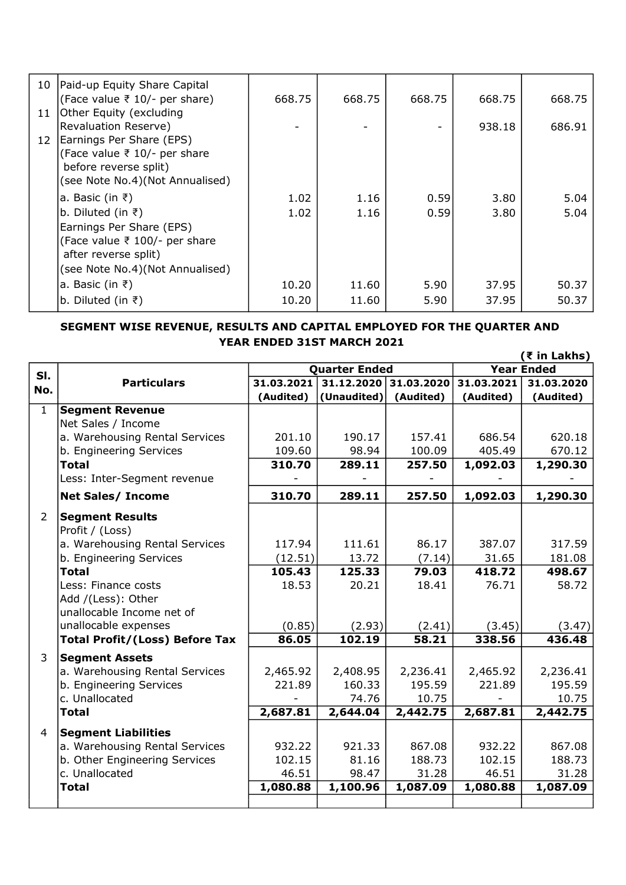| 10 | Paid-up Equity Share Capital<br>(Face value ₹ 10/- per share)         | 668.75 | 668.75 | 668.75 | 668.75 | 668.75 |
|----|-----------------------------------------------------------------------|--------|--------|--------|--------|--------|
| 11 | Other Equity (excluding                                               |        |        |        |        |        |
|    | Revaluation Reserve)                                                  |        |        |        | 938.18 | 686.91 |
| 12 | Earnings Per Share (EPS)<br>(Face value $\overline{z}$ 10/- per share |        |        |        |        |        |
|    | before reverse split)                                                 |        |        |        |        |        |
|    | (see Note No.4)(Not Annualised)                                       |        |        |        |        |        |
|    |                                                                       |        |        |        |        |        |
|    | a. Basic (in $\bar{z}$ )                                              | 1.02   | 1.16   | 0.59   | 3.80   | 5.04   |
|    | b. Diluted (in $\bar{z}$ )                                            | 1.02   | 1.16   | 0.59   | 3.80   | 5.04   |
|    | Earnings Per Share (EPS)                                              |        |        |        |        |        |
|    | (Face value ₹ 100/- per share                                         |        |        |        |        |        |
|    | after reverse split)                                                  |        |        |        |        |        |
|    | (see Note No.4)(Not Annualised)                                       |        |        |        |        |        |
|    | a. Basic (in ₹)                                                       | 10.20  | 11.60  | 5.90   | 37.95  | 50.37  |
|    | b. Diluted (in $\bar{z}$ )                                            | 10.20  | 11.60  | 5.90   | 37.95  | 50.37  |

#### $(7 \text{ in } L)$ YEAR ENDED 31ST MARCH 2021 SEGMENT WISE REVENUE, RESULTS AND CAPITAL EMPLOYED FOR THE QUARTER AND

|                |                                       | (₹ IN Lakns)         |             |            |                   |            |
|----------------|---------------------------------------|----------------------|-------------|------------|-------------------|------------|
| SI.            |                                       | <b>Quarter Ended</b> |             |            | <b>Year Ended</b> |            |
| No.            | <b>Particulars</b>                    | 31.03.2021           | 31.12.2020  | 31.03.2020 | 31.03.2021        | 31.03.2020 |
|                |                                       | (Audited)            | (Unaudited) | (Audited)  | (Audited)         | (Audited)  |
| $\mathbf{1}$   | <b>Segment Revenue</b>                |                      |             |            |                   |            |
|                | Net Sales / Income                    |                      |             |            |                   |            |
|                | a. Warehousing Rental Services        | 201.10               | 190.17      | 157.41     | 686.54            | 620.18     |
|                | b. Engineering Services               | 109.60               | 98.94       | 100.09     | 405.49            | 670.12     |
|                | <b>Total</b>                          | 310.70               | 289.11      | 257.50     | 1,092.03          | 1,290.30   |
|                | Less: Inter-Segment revenue           |                      |             |            |                   |            |
|                | <b>Net Sales/ Income</b>              | 310.70               | 289.11      | 257.50     | 1,092.03          | 1,290.30   |
| $\overline{2}$ | <b>Segment Results</b>                |                      |             |            |                   |            |
|                | Profit / (Loss)                       |                      |             |            |                   |            |
|                | a. Warehousing Rental Services        | 117.94               | 111.61      | 86.17      | 387.07            | 317.59     |
|                | b. Engineering Services               | (12.51)              | 13.72       | (7.14)     | 31.65             | 181.08     |
|                | <b>Total</b>                          | 105.43               | 125.33      | 79.03      | 418.72            | 498.67     |
|                | Less: Finance costs                   | 18.53                | 20.21       | 18.41      | 76.71             | 58.72      |
|                | Add /(Less): Other                    |                      |             |            |                   |            |
|                | unallocable Income net of             |                      |             |            |                   |            |
|                | unallocable expenses                  | (0.85)               | (2.93)      | (2.41)     | (3.45)            | (3.47)     |
|                | <b>Total Profit/(Loss) Before Tax</b> | 86.05                | 102.19      | 58.21      | 338.56            | 436.48     |
| 3              | <b>Segment Assets</b>                 |                      |             |            |                   |            |
|                | a. Warehousing Rental Services        | 2,465.92             | 2,408.95    | 2,236.41   | 2,465.92          | 2,236.41   |
|                | b. Engineering Services               | 221.89               | 160.33      | 195.59     | 221.89            | 195.59     |
|                | c. Unallocated                        |                      | 74.76       | 10.75      |                   | 10.75      |
|                | <b>Total</b>                          | 2,687.81             | 2,644.04    | 2,442.75   | 2,687.81          | 2,442.75   |
| 4              | <b>Segment Liabilities</b>            |                      |             |            |                   |            |
|                | a. Warehousing Rental Services        | 932.22               | 921.33      | 867.08     | 932.22            | 867.08     |
|                | b. Other Engineering Services         | 102.15               | 81.16       | 188.73     | 102.15            | 188.73     |
|                | c. Unallocated                        | 46.51                | 98.47       | 31.28      | 46.51             | 31.28      |
|                | <b>Total</b>                          | 1,080.88             | 1,100.96    | 1,087.09   | 1,080.88          | 1,087.09   |
|                |                                       |                      |             |            |                   |            |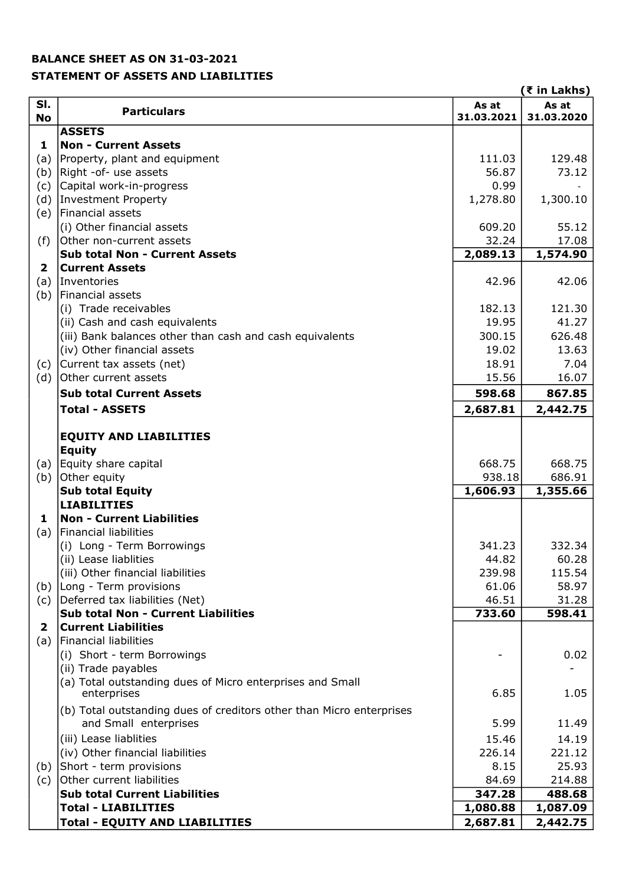### BALANCE SHEET AS ON 31-03-2021

## STATEMENT OF ASSETS AND LIABILITIES

|              |                                                                                               |                 | (₹ in Lakhs)     |
|--------------|-----------------------------------------------------------------------------------------------|-----------------|------------------|
| SI.          | <b>Particulars</b>                                                                            | As at           | As at            |
| <b>No</b>    |                                                                                               | 31.03.2021      | 31.03.2020       |
| 1            | <b>ASSETS</b><br><b>Non - Current Assets</b>                                                  |                 |                  |
| (a)          | Property, plant and equipment                                                                 | 111.03          | 129.48           |
| (b)          | Right -of- use assets                                                                         | 56.87           | 73.12            |
| (c)          | Capital work-in-progress                                                                      | 0.99            |                  |
| (d)          | Investment Property                                                                           | 1,278.80        | 1,300.10         |
| (e)          | Financial assets                                                                              |                 |                  |
|              | (i) Other financial assets                                                                    | 609.20          | 55.12            |
| (f)          | Other non-current assets                                                                      | 32.24           | 17.08            |
|              | <b>Sub total Non - Current Assets</b>                                                         | 2,089.13        | 1,574.90         |
| $\mathbf{2}$ | <b>Current Assets</b>                                                                         |                 |                  |
| (a)          | Inventories                                                                                   | 42.96           | 42.06            |
| (b)          | Financial assets                                                                              |                 |                  |
|              | (i) Trade receivables                                                                         | 182.13          | 121.30           |
|              | (ii) Cash and cash equivalents                                                                | 19.95           | 41.27            |
|              | (iii) Bank balances other than cash and cash equivalents                                      | 300.15          | 626.48           |
|              | (iv) Other financial assets                                                                   | 19.02           | 13.63            |
| (c)          | Current tax assets (net)                                                                      | 18.91           | 7.04             |
| (d)          | Other current assets                                                                          | 15.56           | 16.07            |
|              | <b>Sub total Current Assets</b>                                                               | 598.68          | 867.85           |
|              | <b>Total - ASSETS</b>                                                                         | 2,687.81        | 2,442.75         |
|              |                                                                                               |                 |                  |
|              | <b>EQUITY AND LIABILITIES</b>                                                                 |                 |                  |
|              | <b>Equity</b>                                                                                 |                 |                  |
| (a)          | Equity share capital                                                                          | 668.75          | 668.75           |
| (b)          | Other equity                                                                                  | 938.18          | 686.91           |
|              | <b>Sub total Equity</b>                                                                       | 1,606.93        | 1,355.66         |
|              | <b>LIABILITIES</b>                                                                            |                 |                  |
| 1            | <b>Non - Current Liabilities</b>                                                              |                 |                  |
| (a)          | Financial liabilities                                                                         |                 |                  |
|              | (i) Long - Term Borrowings                                                                    | 341.23          | 332.34           |
|              | (ii) Lease liablities                                                                         | 44.82           | 60.28            |
|              | (iii) Other financial liabilities                                                             | 239.98          | 115.54           |
| (b)          | Long - Term provisions                                                                        | 61.06           | 58.97            |
| (c)          | Deferred tax liabilities (Net)                                                                | 46.51           | 31.28            |
|              | <b>Sub total Non - Current Liabilities</b>                                                    | 733.60          | 598.41           |
| $\mathbf{2}$ | <b>Current Liabilities</b>                                                                    |                 |                  |
| (a)          | Financial liabilities                                                                         |                 |                  |
|              | (i) Short - term Borrowings                                                                   |                 | 0.02             |
|              | (ii) Trade payables<br>(a) Total outstanding dues of Micro enterprises and Small              |                 |                  |
|              | enterprises                                                                                   | 6.85            | 1.05             |
|              |                                                                                               |                 |                  |
|              | (b) Total outstanding dues of creditors other than Micro enterprises<br>and Small enterprises | 5.99            | 11.49            |
|              |                                                                                               |                 |                  |
|              | (iii) Lease liablities                                                                        | 15.46           | 14.19            |
|              | (iv) Other financial liabilities                                                              | 226.14          | 221.12           |
| (b)          | Short - term provisions                                                                       | 8.15            | 25.93            |
| (c)          | Other current liabilities<br><b>Sub total Current Liabilities</b>                             | 84.69<br>347.28 | 214.88<br>488.68 |
|              | <b>Total - LIABILITIES</b>                                                                    | 1,080.88        | 1,087.09         |
|              | <b>Total - EQUITY AND LIABILITIES</b>                                                         | 2,687.81        | 2,442.75         |
|              |                                                                                               |                 |                  |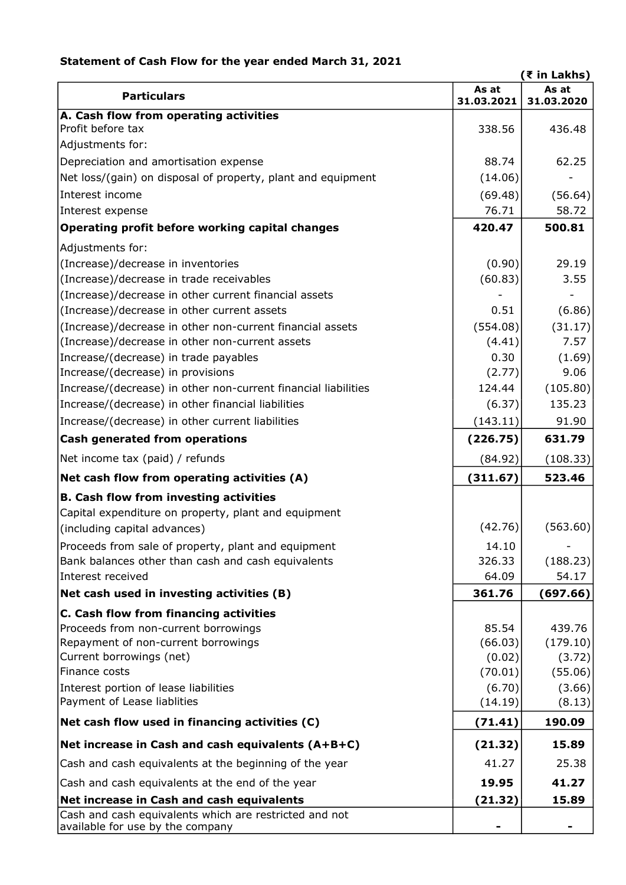## Statement of Cash Flow for the year ended March 31, 2021

|                                                                      |                     | (₹ in Lakhs)        |
|----------------------------------------------------------------------|---------------------|---------------------|
| <b>Particulars</b>                                                   | As at<br>31.03.2021 | As at<br>31.03.2020 |
| A. Cash flow from operating activities                               |                     |                     |
| Profit before tax                                                    | 338.56              | 436.48              |
| Adjustments for:                                                     |                     |                     |
| Depreciation and amortisation expense                                | 88.74               | 62.25               |
| Net loss/(gain) on disposal of property, plant and equipment         | (14.06)             |                     |
| Interest income                                                      | (69.48)             | (56.64)             |
| Interest expense                                                     | 76.71               | 58.72               |
| Operating profit before working capital changes                      | 420.47              | 500.81              |
| Adjustments for:                                                     |                     |                     |
| (Increase)/decrease in inventories                                   | (0.90)              | 29.19               |
| (Increase)/decrease in trade receivables                             | (60.83)             | 3.55                |
| (Increase)/decrease in other current financial assets                |                     |                     |
| (Increase)/decrease in other current assets                          | 0.51                | (6.86)              |
| (Increase)/decrease in other non-current financial assets            | (554.08)            | (31.17)             |
| (Increase)/decrease in other non-current assets                      | (4.41)              | 7.57                |
| Increase/(decrease) in trade payables                                | 0.30                | (1.69)              |
| Increase/(decrease) in provisions                                    | (2.77)              | 9.06                |
| Increase/(decrease) in other non-current financial liabilities       | 124.44              | (105.80)            |
| Increase/(decrease) in other financial liabilities                   | (6.37)              | 135.23              |
| Increase/(decrease) in other current liabilities                     | (143.11)            | 91.90               |
| <b>Cash generated from operations</b>                                | (226.75)            | 631.79              |
| Net income tax (paid) / refunds                                      | (84.92)             | (108.33)            |
| Net cash flow from operating activities (A)                          | (311.67)            | 523.46              |
| <b>B. Cash flow from investing activities</b>                        |                     |                     |
| Capital expenditure on property, plant and equipment                 |                     |                     |
| (including capital advances)                                         | (42.76)             | (563.60)            |
| Proceeds from sale of property, plant and equipment                  | 14.10               |                     |
| Bank balances other than cash and cash equivalents                   | 326.33              | (188.23)            |
| Interest received                                                    | 64.09               | 54.17               |
| Net cash used in investing activities (B)                            | 361.76              | (697.66)            |
| C. Cash flow from financing activities                               |                     |                     |
| Proceeds from non-current borrowings                                 | 85.54               | 439.76              |
| Repayment of non-current borrowings                                  | (66.03)             | (179.10)            |
| Current borrowings (net)                                             | (0.02)              | (3.72)              |
| Finance costs                                                        | (70.01)             | (55.06)             |
| Interest portion of lease liabilities<br>Payment of Lease liablities | (6.70)<br>(14.19)   | (3.66)<br>(8.13)    |
| Net cash flow used in financing activities (C)                       | (71.41)             | 190.09              |
| Net increase in Cash and cash equivalents (A+B+C)                    |                     | 15.89               |
| Cash and cash equivalents at the beginning of the year               | (21.32)<br>41.27    | 25.38               |
| Cash and cash equivalents at the end of the year                     | 19.95               | 41.27               |
| Net increase in Cash and cash equivalents                            | (21.32)             | 15.89               |
| Cash and cash equivalents which are restricted and not               |                     |                     |
| available for use by the company                                     |                     |                     |